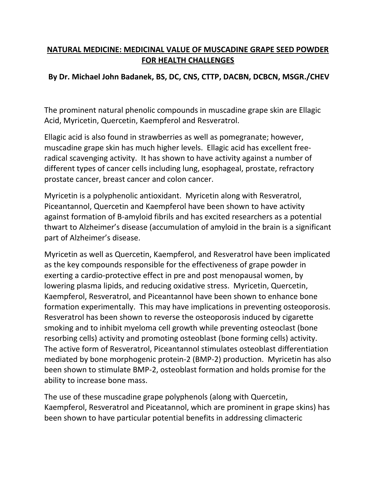## **NATURAL MEDICINE: MEDICINAL VALUE OF MUSCADINE GRAPE SEED POWDER FOR HEALTH CHALLENGES**

## **By Dr. Michael John Badanek, BS, DC, CNS, CTTP, DACBN, DCBCN, MSGR./CHEV**

The prominent natural phenolic compounds in muscadine grape skin are Ellagic Acid, Myricetin, Quercetin, Kaempferol and Resveratrol.

Ellagic acid is also found in strawberries as well as pomegranate; however, muscadine grape skin has much higher levels. Ellagic acid has excellent freeradical scavenging activity. It has shown to have activity against a number of different types of cancer cells including lung, esophageal, prostate, refractory prostate cancer, breast cancer and colon cancer.

Myricetin is a polyphenolic antioxidant. Myricetin along with Resveratrol, Piceantannol, Quercetin and Kaempferol have been shown to have activity against formation of B-amyloid fibrils and has excited researchers as a potential thwart to Alzheimer's disease (accumulation of amyloid in the brain is a significant part of Alzheimer's disease.

Myricetin as well as Quercetin, Kaempferol, and Resveratrol have been implicated as the key compounds responsible for the effectiveness of grape powder in exerting a cardio-protective effect in pre and post menopausal women, by lowering plasma lipids, and reducing oxidative stress. Myricetin, Quercetin, Kaempferol, Resveratrol, and Piceantannol have been shown to enhance bone formation experimentally. This may have implications in preventing osteoporosis. Resveratrol has been shown to reverse the osteoporosis induced by cigarette smoking and to inhibit myeloma cell growth while preventing osteoclast (bone resorbing cells) activity and promoting osteoblast (bone forming cells) activity. The active form of Resveratrol, Piceantannol stimulates osteoblast differentiation mediated by bone morphogenic protein-2 (BMP-2) production. Myricetin has also been shown to stimulate BMP-2, osteoblast formation and holds promise for the ability to increase bone mass.

The use of these muscadine grape polyphenols (along with Quercetin, Kaempferol, Resveratrol and Piceatannol, which are prominent in grape skins) has been shown to have particular potential benefits in addressing climacteric